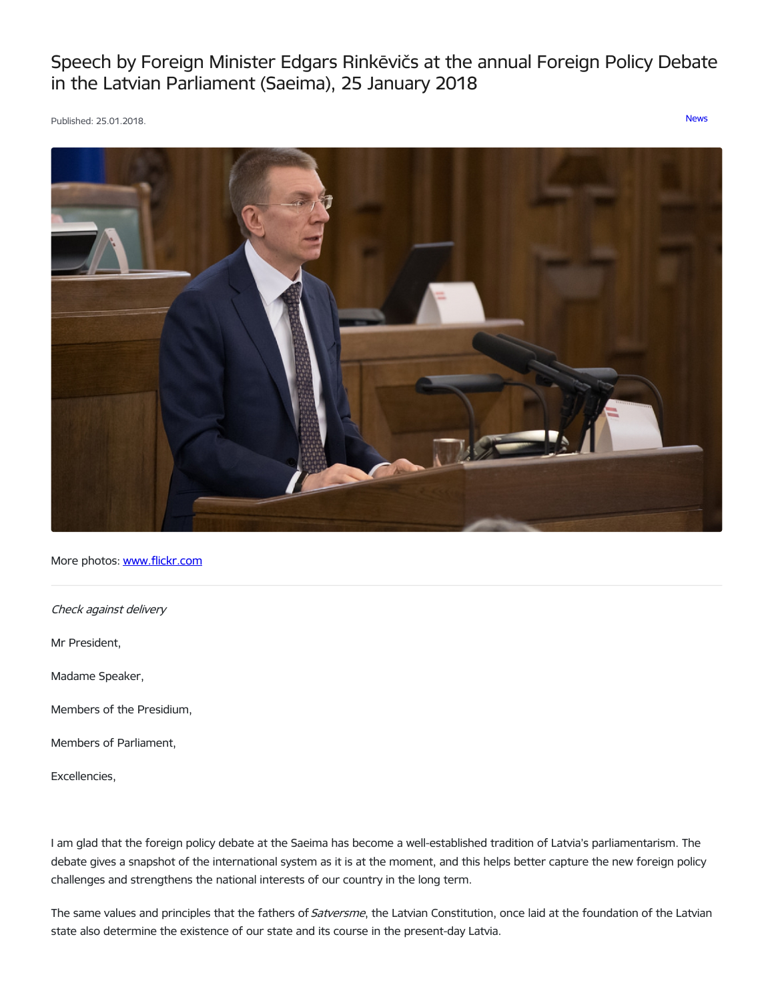Speech by Foreign Minister Edgars Rinkēvičs at the annual Foreign Policy Debate in the Latvian Parliament (Saeima), 25 January 2018

Published: 25.01.2018. [News](https://www.mfa.gov.lv/en/articles?category%255B253%255D=253)



More photos: [www.flickr.com](https://www.flickr.com/photos/latvianmfa/with/38989337335)

Check against delivery

Mr President,

Madame Speaker,

Members of the Presidium,

Members of Parliament,

Excellencies,

I am glad that the foreign policy debate at the Saeima has become a well-established tradition of Latvia's parliamentarism. The debate gives a snapshot of the international system as it is at the moment, and this helps better capture the new foreign policy challenges and strengthens the national interests of our country in the long term.

The same values and principles that the fathers of Satversme, the Latvian Constitution, once laid at the foundation of the Latvian state also determine the existence of our state and its course in the present-day Latvia.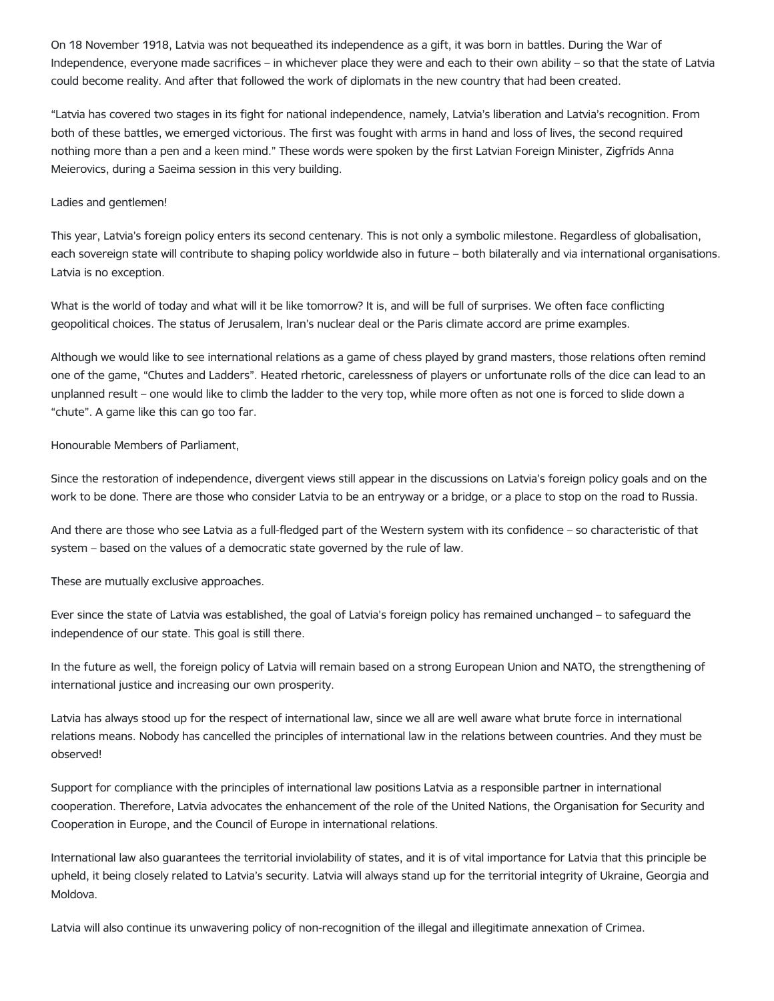On 18 November 1918, Latvia was not bequeathed its independence as a gift, it was born in battles. During the War of Independence, everyone made sacrifices – in whichever place they were and each to their own ability – so that the state of Latvia could become reality. And after that followed the work of diplomats in the new country that had been created.

"Latvia has covered two stages in its fight for national independence, namely, Latvia's liberation and Latvia's recognition. From both of these battles, we emerged victorious. The first was fought with arms in hand and loss of lives, the second required nothing more than a pen and a keen mind." These words were spoken by the first Latvian Foreign Minister, Zigfrīds Anna Meierovics, during a Saeima session in this very building.

# Ladies and gentlemen!

This year, Latvia's foreign policy enters its second centenary. This is not only a symbolic milestone. Regardless of globalisation, each sovereign state will contribute to shaping policy worldwide also in future – both bilaterally and via international organisations. Latvia is no exception.

What is the world of today and what will it be like tomorrow? It is, and will be full of surprises. We often face conflicting geopolitical choices. The status of Jerusalem, Iran's nuclear deal or the Paris climate accord are prime examples.

Although we would like to see international relations as a game of chess played by grand masters, those relations often remind one of the game, "Chutes and Ladders". Heated rhetoric, carelessness of players or unfortunate rolls of the dice can lead to an unplanned result – one would like to climb the ladder to the very top, while more often as not one is forced to slide down a "chute". A game like this can go too far.

## Honourable Members of Parliament,

Since the restoration of independence, divergent views still appear in the discussions on Latvia's foreign policy goals and on the work to be done. There are those who consider Latvia to be an entryway or a bridge, or a place to stop on the road to Russia.

And there are those who see Latvia as a full-fledged part of the Western system with its confidence – so characteristic of that system – based on the values of a democratic state governed by the rule of law.

These are mutually exclusive approaches.

Ever since the state of Latvia was established, the goal of Latvia's foreign policy has remained unchanged – to safeguard the independence of our state. This goal is still there.

In the future as well, the foreign policy of Latvia will remain based on a strong European Union and NATO, the strengthening of international justice and increasing our own prosperity.

Latvia has always stood up for the respect of international law, since we all are well aware what brute force in international relations means. Nobody has cancelled the principles of international law in the relations between countries. And they must be observed!

Support for compliance with the principles of international law positions Latvia as a responsible partner in international cooperation. Therefore, Latvia advocates the enhancement of the role of the United Nations, the Organisation for Security and Cooperation in Europe, and the Council of Europe in international relations.

International law also guarantees the territorial inviolability of states, and it is of vital importance for Latvia that this principle be upheld, it being closely related to Latvia's security. Latvia will always stand up for the territorial integrity of Ukraine, Georgia and Moldova.

Latvia will also continue its unwavering policy of non-recognition of the illegal and illegitimate annexation of Crimea.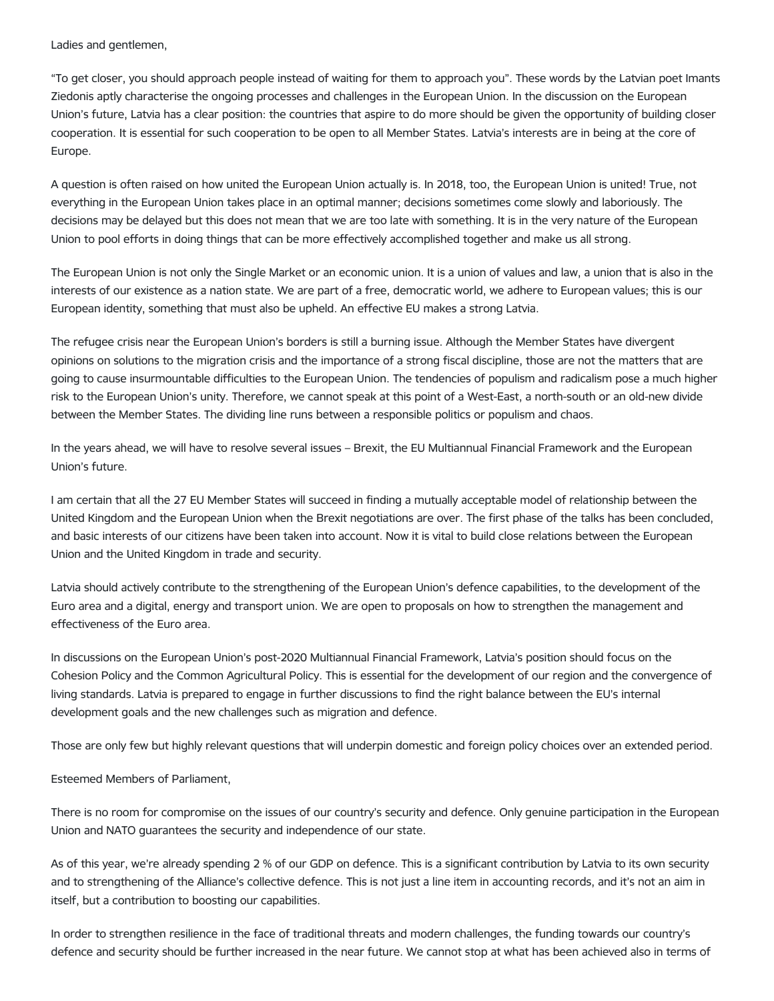Ladies and gentlemen,

"To get closer, you should approach people instead of waiting for them to approach you". These words by the Latvian poet Imants Ziedonis aptly characterise the ongoing processes and challenges in the European Union. In the discussion on the European Union's future, Latvia has a clear position: the countries that aspire to do more should be given the opportunity of building closer cooperation. It is essential for such cooperation to be open to all Member States. Latvia's interests are in being at the core of Europe.

A question is often raised on how united the European Union actually is. In 2018, too, the European Union is united! True, not everything in the European Union takes place in an optimal manner; decisions sometimes come slowly and laboriously. The decisions may be delayed but this does not mean that we are too late with something. It is in the very nature of the European Union to pool efforts in doing things that can be more effectively accomplished together and make us all strong.

The European Union is not only the Single Market or an economic union. It is a union of values and law, a union that is also in the interests of our existence as a nation state. We are part of a free, democratic world, we adhere to European values; this is our European identity, something that must also be upheld. An effective EU makes a strong Latvia.

The refugee crisis near the European Union's borders is still a burning issue. Although the Member States have divergent opinions on solutions to the migration crisis and the importance of a strong fiscal discipline, those are not the matters that are going to cause insurmountable difficulties to the European Union. The tendencies of populism and radicalism pose a much higher risk to the European Union's unity. Therefore, we cannot speak at this point of a West-East, a north-south or an old-new divide between the Member States. The dividing line runs between a responsible politics or populism and chaos.

In the years ahead, we will have to resolve several issues – Brexit, the EU Multiannual Financial Framework and the European Union's future.

I am certain that all the 27 EU Member States will succeed in finding a mutually acceptable model of relationship between the United Kingdom and the European Union when the Brexit negotiations are over. The first phase of the talks has been concluded, and basic interests of our citizens have been taken into account. Now it is vital to build close relations between the European Union and the United Kingdom in trade and security.

Latvia should actively contribute to the strengthening of the European Union's defence capabilities, to the development of the Euro area and a digital, energy and transport union. We are open to proposals on how to strengthen the management and effectiveness of the Euro area.

In discussions on the European Union's post-2020 Multiannual Financial Framework, Latvia's position should focus on the Cohesion Policy and the Common Agricultural Policy. This is essential for the development of our region and the convergence of living standards. Latvia is prepared to engage in further discussions to find the right balance between the EU's internal development goals and the new challenges such as migration and defence.

Those are only few but highly relevant questions that will underpin domestic and foreign policy choices over an extended period.

Esteemed Members of Parliament,

There is no room for compromise on the issues of our country's security and defence. Only genuine participation in the European Union and NATO guarantees the security and independence of our state.

As of this year, we're already spending 2 % of our GDP on defence. This is a significant contribution by Latvia to its own security and to strengthening of the Alliance's collective defence. This is not just a line item in accounting records, and it's not an aim in itself, but a contribution to boosting our capabilities.

In order to strengthen resilience in the face of traditional threats and modern challenges, the funding towards our country's defence and security should be further increased in the near future. We cannot stop at what has been achieved also in terms of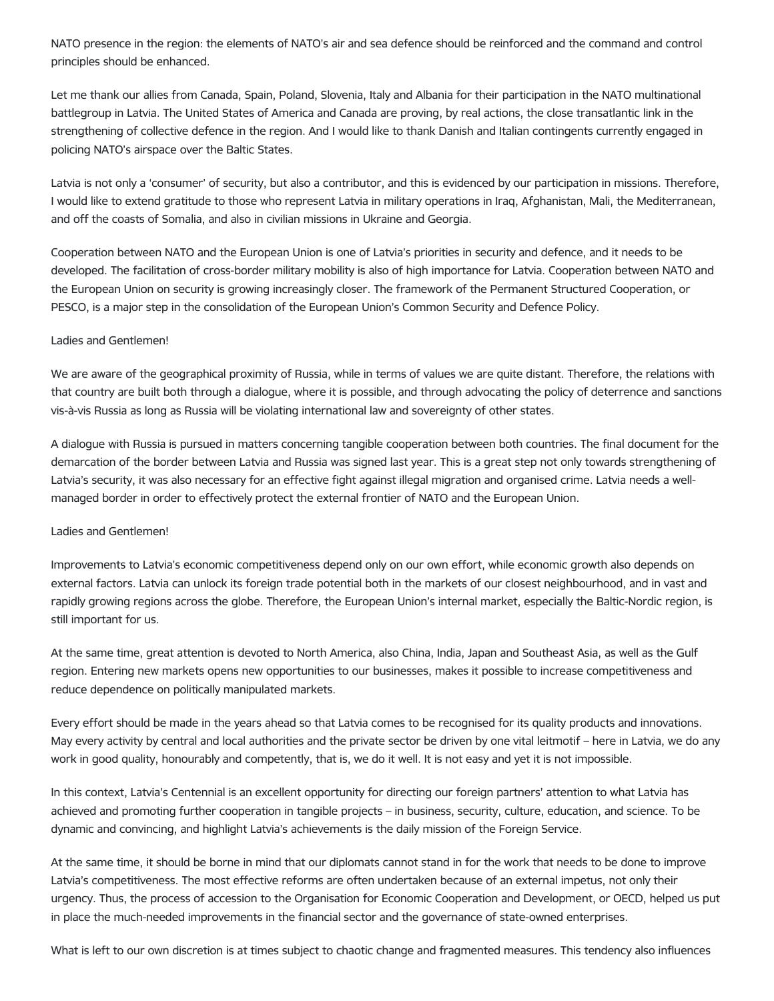NATO presence in the region: the elements of NATO's air and sea defence should be reinforced and the command and control principles should be enhanced.

Let me thank our allies from Canada, Spain, Poland, Slovenia, Italy and Albania for their participation in the NATO multinational battlegroup in Latvia. The United States of America and Canada are proving, by real actions, the close transatlantic link in the strengthening of collective defence in the region. And I would like to thank Danish and Italian contingents currently engaged in policing NATO's airspace over the Baltic States.

Latvia is not only a 'consumer' of security, but also a contributor, and this is evidenced by our participation in missions. Therefore, I would like to extend gratitude to those who represent Latvia in military operations in Iraq, Afghanistan, Mali, the Mediterranean, and off the coasts of Somalia, and also in civilian missions in Ukraine and Georgia.

Cooperation between NATO and the European Union is one of Latvia's priorities in security and defence, and it needs to be developed. The facilitation of cross-border military mobility is also of high importance for Latvia. Cooperation between NATO and the European Union on security is growing increasingly closer. The framework of the Permanent Structured Cooperation, or PESCO, is a major step in the consolidation of the European Union's Common Security and Defence Policy.

## Ladies and Gentlemen!

We are aware of the geographical proximity of Russia, while in terms of values we are quite distant. Therefore, the relations with that country are built both through a dialogue, where it is possible, and through advocating the policy of deterrence and sanctions vis-à-vis Russia as long as Russia will be violating international law and sovereignty of other states.

A dialogue with Russia is pursued in matters concerning tangible cooperation between both countries. The final document for the demarcation of the border between Latvia and Russia was signed last year. This is a great step not only towards strengthening of Latvia's security, it was also necessary for an effective fight against illegal migration and organised crime. Latvia needs a wellmanaged border in order to effectively protect the external frontier of NATO and the European Union.

#### Ladies and Gentlemen!

Improvements to Latvia's economic competitiveness depend only on our own effort, while economic growth also depends on external factors. Latvia can unlock its foreign trade potential both in the markets of our closest neighbourhood, and in vast and rapidly growing regions across the globe. Therefore, the European Union's internal market, especially the Baltic-Nordic region, is still important for us.

At the same time, great attention is devoted to North America, also China, India, Japan and Southeast Asia, as well as the Gulf region. Entering new markets opens new opportunities to our businesses, makes it possible to increase competitiveness and reduce dependence on politically manipulated markets.

Every effort should be made in the years ahead so that Latvia comes to be recognised for its quality products and innovations. May every activity by central and local authorities and the private sector be driven by one vital leitmotif – here in Latvia, we do any work in good quality, honourably and competently, that is, we do it well. It is not easy and yet it is not impossible.

In this context, Latvia's Centennial is an excellent opportunity for directing our foreign partners' attention to what Latvia has achieved and promoting further cooperation in tangible projects – in business, security, culture, education, and science. To be dynamic and convincing, and highlight Latvia's achievements is the daily mission of the Foreign Service.

At the same time, it should be borne in mind that our diplomats cannot stand in for the work that needs to be done to improve Latvia's competitiveness. The most effective reforms are often undertaken because of an external impetus, not only their urgency. Thus, the process of accession to the Organisation for Economic Cooperation and Development, or OECD, helped us put in place the much-needed improvements in the financial sector and the governance of state-owned enterprises.

What is left to our own discretion is at times subject to chaotic change and fragmented measures. This tendency also influences